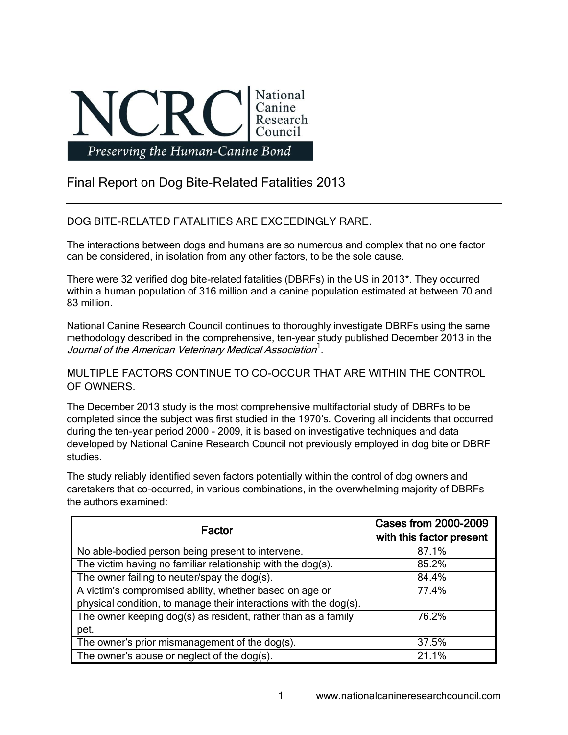

## Final Report on Dog Bite-Related Fatalities 2013

## DOG BITE-RELATED FATALITIES ARE EXCEEDINGLY RARE.

The interactions between dogs and humans are so numerous and complex that no one factor can be considered, in isolation from any other factors, to be the sole cause.

There were 32 verified dog bite-related fatalities (DBRFs) in the US in 2013\*. They occurred within a human population of 316 million and a canine population estimated at between 70 and 83 million.

National Canine Research Council continues to thoroughly investigate DBRFs using the same methodology described in the comprehensive, ten-year study published December 2013 in the Journal of the American Veterinary Medical Association<sup>1</sup>.

MULTIPLE FACTORS CONTINUE TO CO-OCCUR THAT ARE WITHIN THE CONTROL OF OWNERS.

The December 2013 study is the most comprehensive multifactorial study of DBRFs to be completed since the subject was first studied in the 1970's. Covering all incidents that occurred during the ten-year period 2000 - 2009, it is based on investigative techniques and data developed by National Canine Research Council not previously employed in dog bite or DBRF studies.

The study reliably identified seven factors potentially within the control of dog owners and caretakers that co-occurred, in various combinations, in the overwhelming majority of DBRFs the authors examined:

| Factor                                                            | <b>Cases from 2000-2009</b><br>with this factor present |
|-------------------------------------------------------------------|---------------------------------------------------------|
| No able-bodied person being present to intervene.                 | 87.1%                                                   |
| The victim having no familiar relationship with the dog(s).       | 85.2%                                                   |
| The owner failing to neuter/spay the dog(s).                      | 84.4%                                                   |
| A victim's compromised ability, whether based on age or           | 77.4%                                                   |
| physical condition, to manage their interactions with the dog(s). |                                                         |
| The owner keeping dog(s) as resident, rather than as a family     | 76.2%                                                   |
| pet.                                                              |                                                         |
| The owner's prior mismanagement of the dog(s).                    | 37.5%                                                   |
| The owner's abuse or neglect of the dog(s).                       | 21.1%                                                   |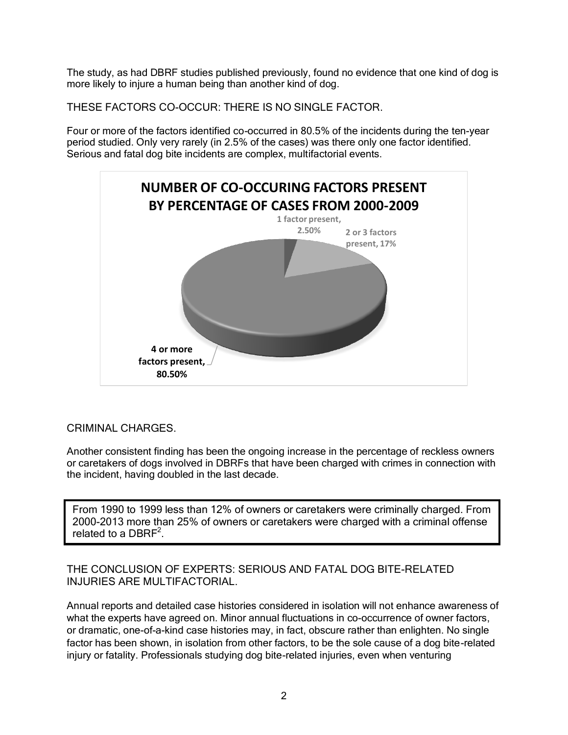The study, as had DBRF studies published previously, found no evidence that one kind of dog is more likely to injure a human being than another kind of dog.

THESE FACTORS CO-OCCUR: THERE IS NO SINGLE FACTOR.

Four or more of the factors identified co-occurred in 80.5% of the incidents during the ten-year period studied. Only very rarely (in 2.5% of the cases) was there only one factor identified. Serious and fatal dog bite incidents are complex, multifactorial events.



## CRIMINAL CHARGES.

Another consistent finding has been the ongoing increase in the percentage of reckless owners or caretakers of dogs involved in DBRFs that have been charged with crimes in connection with the incident, having doubled in the last decade.

 From 1990 to 1999 less than 12% of owners or caretakers were criminally charged. From 2000-2013 more than 25% of owners or caretakers were charged with a criminal offense related to a  $DBRF^2$ .

THE CONCLUSION OF EXPERTS: SERIOUS AND FATAL DOG BITE-RELATED INJURIES ARE MULTIFACTORIAL.

Annual reports and detailed case histories considered in isolation will not enhance awareness of what the experts have agreed on. Minor annual fluctuations in co-occurrence of owner factors, or dramatic, one-of-a-kind case histories may, in fact, obscure rather than enlighten. No single factor has been shown, in isolation from other factors, to be the sole cause of a dog bite-related injury or fatality. Professionals studying dog bite-related injuries, even when venturing